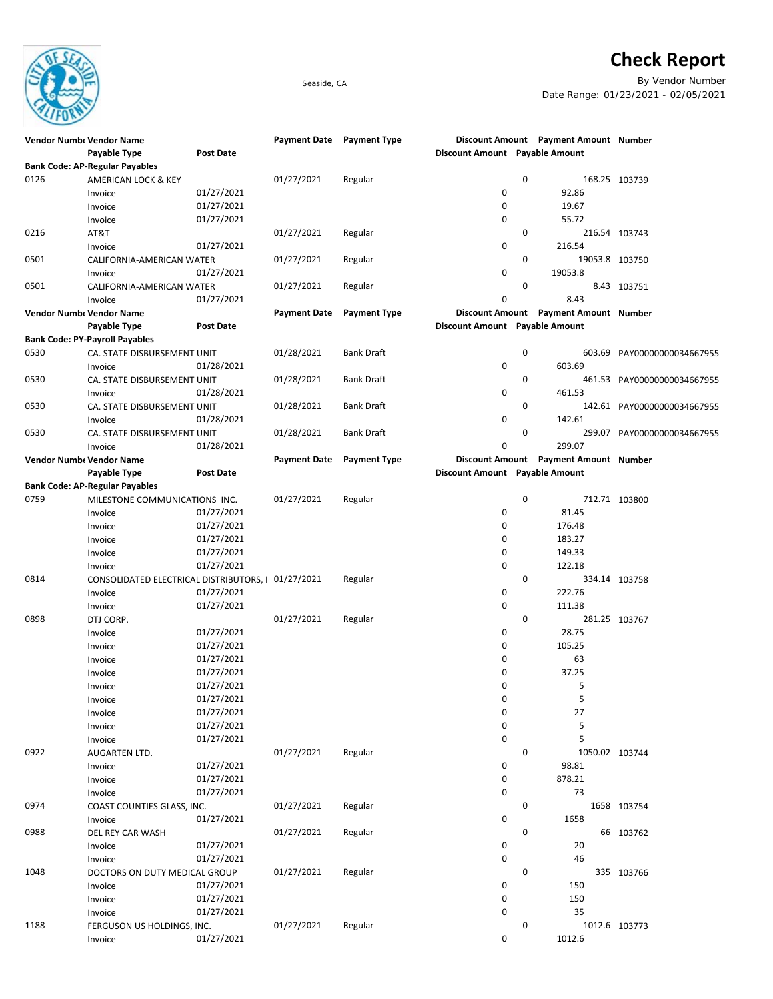

## **Check Report**

Seaside, CA By Vendor Number Date Range: 01/23/2021 - 02/05/2021

|      | <b>Vendor Numbe Vendor Name</b>                    |                  | <b>Payment Date</b> | <b>Payment Type</b> |                                | Discount Amount Payment Amount Number |                             |
|------|----------------------------------------------------|------------------|---------------------|---------------------|--------------------------------|---------------------------------------|-----------------------------|
|      | Payable Type                                       | <b>Post Date</b> |                     |                     | Discount Amount Payable Amount |                                       |                             |
|      | <b>Bank Code: AP-Regular Payables</b>              |                  |                     |                     |                                |                                       |                             |
| 0126 | AMERICAN LOCK & KEY                                |                  | 01/27/2021          | Regular             |                                | 0                                     | 168.25 103739               |
|      | Invoice                                            | 01/27/2021       |                     |                     | 0                              | 92.86                                 |                             |
|      | Invoice                                            | 01/27/2021       |                     |                     | 0                              | 19.67                                 |                             |
|      | Invoice                                            | 01/27/2021       |                     |                     | 0                              | 55.72                                 |                             |
| 0216 |                                                    |                  |                     |                     |                                | 0                                     |                             |
|      | AT&T                                               |                  | 01/27/2021          | Regular             |                                |                                       | 216.54 103743               |
|      | Invoice                                            | 01/27/2021       |                     |                     | 0                              | 216.54                                |                             |
| 0501 | CALIFORNIA-AMERICAN WATER                          |                  | 01/27/2021          | Regular             |                                | 0                                     | 19053.8 103750              |
|      | Invoice                                            | 01/27/2021       |                     |                     | 0                              | 19053.8                               |                             |
| 0501 | CALIFORNIA-AMERICAN WATER                          |                  | 01/27/2021          | Regular             |                                | 0                                     | 8.43 103751                 |
|      | Invoice                                            | 01/27/2021       |                     |                     | 0                              | 8.43                                  |                             |
|      | <b>Vendor Numbe Vendor Name</b>                    |                  | <b>Payment Date</b> | <b>Payment Type</b> |                                | Discount Amount Payment Amount Number |                             |
|      | Payable Type                                       | Post Date        |                     |                     | Discount Amount Payable Amount |                                       |                             |
|      | <b>Bank Code: PY-Payroll Payables</b>              |                  |                     |                     |                                |                                       |                             |
| 0530 | CA. STATE DISBURSEMENT UNIT                        |                  | 01/28/2021          | <b>Bank Draft</b>   |                                | 0                                     | 603.69 PAY00000000034667955 |
|      | Invoice                                            | 01/28/2021       |                     |                     | 0                              | 603.69                                |                             |
| 0530 |                                                    |                  |                     | <b>Bank Draft</b>   |                                | $\mathbf 0$                           |                             |
|      | CA. STATE DISBURSEMENT UNIT                        |                  | 01/28/2021          |                     |                                |                                       | 461.53 PAY00000000034667955 |
|      | Invoice                                            | 01/28/2021       |                     |                     | 0                              | 461.53                                |                             |
| 0530 | CA. STATE DISBURSEMENT UNIT                        |                  | 01/28/2021          | <b>Bank Draft</b>   |                                | 0                                     | 142.61 PAY00000000034667955 |
|      | Invoice                                            | 01/28/2021       |                     |                     | 0                              | 142.61                                |                             |
| 0530 | CA. STATE DISBURSEMENT UNIT                        |                  | 01/28/2021          | <b>Bank Draft</b>   |                                | 0                                     | 299.07 PAY00000000034667955 |
|      | Invoice                                            | 01/28/2021       |                     |                     | 0                              | 299.07                                |                             |
|      | Vendor Numbe Vendor Name                           |                  | <b>Payment Date</b> | <b>Payment Type</b> |                                | Discount Amount Payment Amount Number |                             |
|      | Payable Type                                       | <b>Post Date</b> |                     |                     | Discount Amount Payable Amount |                                       |                             |
|      | <b>Bank Code: AP-Regular Payables</b>              |                  |                     |                     |                                |                                       |                             |
| 0759 | MILESTONE COMMUNICATIONS INC.                      |                  | 01/27/2021          | Regular             |                                | 0                                     | 712.71 103800               |
|      | Invoice                                            | 01/27/2021       |                     |                     | 0                              | 81.45                                 |                             |
|      |                                                    | 01/27/2021       |                     |                     | 0                              | 176.48                                |                             |
|      | Invoice                                            |                  |                     |                     |                                |                                       |                             |
|      | Invoice                                            | 01/27/2021       |                     |                     | 0                              | 183.27                                |                             |
|      | Invoice                                            | 01/27/2021       |                     |                     | 0                              | 149.33                                |                             |
|      | Invoice                                            | 01/27/2021       |                     |                     | 0                              | 122.18                                |                             |
| 0814 | CONSOLIDATED ELECTRICAL DISTRIBUTORS, I 01/27/2021 |                  |                     | Regular             |                                | 0                                     | 334.14 103758               |
|      | Invoice                                            | 01/27/2021       |                     |                     | 0                              | 222.76                                |                             |
|      | Invoice                                            | 01/27/2021       |                     |                     | $\mathbf 0$                    | 111.38                                |                             |
| 0898 | DTJ CORP.                                          |                  | 01/27/2021          | Regular             |                                | 0                                     | 281.25 103767               |
|      | Invoice                                            | 01/27/2021       |                     |                     | 0                              | 28.75                                 |                             |
|      | Invoice                                            | 01/27/2021       |                     |                     | 0                              | 105.25                                |                             |
|      | Invoice                                            | 01/27/2021       |                     |                     | 0                              | 63                                    |                             |
|      | Invoice                                            | 01/27/2021       |                     |                     | 0                              | 37.25                                 |                             |
|      |                                                    | 01/27/2021       |                     |                     | 0                              | 5                                     |                             |
|      | Invoice                                            |                  |                     |                     | 0                              | 5                                     |                             |
|      | Invoice                                            | 01/27/2021       |                     |                     |                                |                                       |                             |
|      | Invoice                                            | 01/27/2021       |                     |                     | 0                              | 27                                    |                             |
|      | Invoice                                            | 01/27/2021       |                     |                     | 0                              | 5                                     |                             |
|      | Invoice                                            | 01/27/2021       |                     |                     | 0                              | 5                                     |                             |
| 0922 | AUGARTEN LTD.                                      |                  | 01/27/2021          | Regular             |                                | 0<br>1050.02 103744                   |                             |
|      | Invoice                                            | 01/27/2021       |                     |                     | 0                              | 98.81                                 |                             |
|      | Invoice                                            | 01/27/2021       |                     |                     | 0                              | 878.21                                |                             |
|      | Invoice                                            | 01/27/2021       |                     |                     | 0                              | 73                                    |                             |
| 0974 | COAST COUNTIES GLASS, INC.                         |                  | 01/27/2021          | Regular             |                                | 0                                     | 1658 103754                 |
|      | Invoice                                            | 01/27/2021       |                     |                     | 0                              | 1658                                  |                             |
| 0988 | DEL REY CAR WASH                                   |                  | 01/27/2021          | Regular             |                                | 0                                     | 66 103762                   |
|      |                                                    |                  |                     |                     |                                |                                       |                             |
|      | Invoice                                            | 01/27/2021       |                     |                     | 0                              | 20                                    |                             |
|      | Invoice                                            | 01/27/2021       |                     |                     | 0                              | 46                                    |                             |
| 1048 | DOCTORS ON DUTY MEDICAL GROUP                      |                  | 01/27/2021          | Regular             |                                | 0                                     | 335 103766                  |
|      | Invoice                                            | 01/27/2021       |                     |                     | 0                              | 150                                   |                             |
|      | Invoice                                            | 01/27/2021       |                     |                     | 0                              | 150                                   |                             |
|      | Invoice                                            | 01/27/2021       |                     |                     | 0                              | 35                                    |                             |
| 1188 | FERGUSON US HOLDINGS, INC.                         |                  | 01/27/2021          | Regular             |                                | 0                                     | 1012.6 103773               |
|      | Invoice                                            | 01/27/2021       |                     |                     | 0                              | 1012.6                                |                             |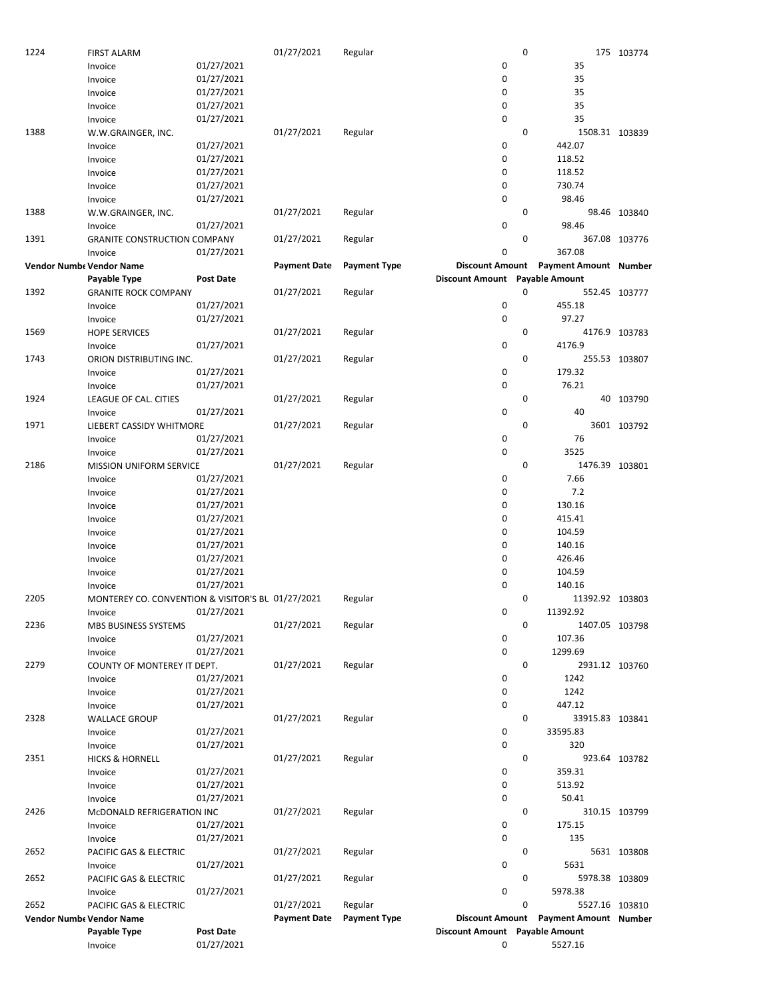| 1224 | <b>FIRST ALARM</b>                                |                  | 01/27/2021          | Regular             |                                | 0 |                                       | 175 103774    |
|------|---------------------------------------------------|------------------|---------------------|---------------------|--------------------------------|---|---------------------------------------|---------------|
|      | Invoice                                           | 01/27/2021       |                     |                     | 0                              |   | 35                                    |               |
|      | Invoice                                           | 01/27/2021       |                     |                     | 0                              |   | 35                                    |               |
|      | Invoice                                           | 01/27/2021       |                     |                     | 0                              |   | 35                                    |               |
|      | Invoice                                           | 01/27/2021       |                     |                     | 0                              |   | 35                                    |               |
|      | Invoice                                           | 01/27/2021       |                     |                     | 0                              |   | 35                                    |               |
| 1388 | W.W.GRAINGER, INC.                                |                  | 01/27/2021          | Regular             |                                | 0 | 1508.31 103839                        |               |
|      | Invoice                                           | 01/27/2021       |                     |                     | 0                              |   | 442.07                                |               |
|      | Invoice                                           | 01/27/2021       |                     |                     | 0                              |   | 118.52                                |               |
|      |                                                   |                  |                     |                     |                                |   |                                       |               |
|      | Invoice                                           | 01/27/2021       |                     |                     | 0                              |   | 118.52                                |               |
|      | Invoice                                           | 01/27/2021       |                     |                     | 0                              |   | 730.74                                |               |
|      | Invoice                                           | 01/27/2021       |                     |                     | 0                              |   | 98.46                                 |               |
| 1388 | W.W.GRAINGER, INC.                                |                  | 01/27/2021          | Regular             |                                | 0 |                                       | 98.46 103840  |
|      | Invoice                                           | 01/27/2021       |                     |                     | 0                              |   | 98.46                                 |               |
| 1391 | <b>GRANITE CONSTRUCTION COMPANY</b>               |                  | 01/27/2021          | Regular             |                                | 0 |                                       | 367.08 103776 |
|      | Invoice                                           | 01/27/2021       |                     |                     | 0                              |   | 367.08                                |               |
|      | Vendor Numbe Vendor Name                          |                  | <b>Payment Date</b> | <b>Payment Type</b> |                                |   | Discount Amount Payment Amount Number |               |
|      | Payable Type                                      | <b>Post Date</b> |                     |                     | Discount Amount Payable Amount |   |                                       |               |
| 1392 | <b>GRANITE ROCK COMPANY</b>                       |                  | 01/27/2021          | Regular             |                                | 0 |                                       | 552.45 103777 |
|      | Invoice                                           | 01/27/2021       |                     |                     | 0                              |   | 455.18                                |               |
|      | Invoice                                           | 01/27/2021       |                     |                     | 0                              |   | 97.27                                 |               |
| 1569 |                                                   |                  | 01/27/2021          | Regular             |                                | 0 |                                       | 4176.9 103783 |
|      | <b>HOPE SERVICES</b>                              |                  |                     |                     |                                |   | 4176.9                                |               |
|      | Invoice                                           | 01/27/2021       |                     |                     | 0                              |   |                                       |               |
| 1743 | ORION DISTRIBUTING INC.                           |                  | 01/27/2021          | Regular             |                                | 0 |                                       | 255.53 103807 |
|      | Invoice                                           | 01/27/2021       |                     |                     | 0                              |   | 179.32                                |               |
|      | Invoice                                           | 01/27/2021       |                     |                     | 0                              |   | 76.21                                 |               |
| 1924 | LEAGUE OF CAL. CITIES                             |                  | 01/27/2021          | Regular             |                                | 0 |                                       | 40 103790     |
|      | Invoice                                           | 01/27/2021       |                     |                     | 0                              |   | 40                                    |               |
| 1971 | LIEBERT CASSIDY WHITMORE                          |                  | 01/27/2021          | Regular             |                                | 0 |                                       | 3601 103792   |
|      | Invoice                                           | 01/27/2021       |                     |                     | 0                              |   | 76                                    |               |
|      | Invoice                                           | 01/27/2021       |                     |                     | 0                              |   | 3525                                  |               |
| 2186 | <b>MISSION UNIFORM SERVICE</b>                    |                  | 01/27/2021          | Regular             |                                | 0 | 1476.39 103801                        |               |
|      | Invoice                                           | 01/27/2021       |                     |                     | 0                              |   | 7.66                                  |               |
|      | Invoice                                           | 01/27/2021       |                     |                     | 0                              |   | 7.2                                   |               |
|      | Invoice                                           | 01/27/2021       |                     |                     | 0                              |   | 130.16                                |               |
|      |                                                   |                  |                     |                     | 0                              |   |                                       |               |
|      | Invoice                                           | 01/27/2021       |                     |                     |                                |   | 415.41                                |               |
|      | Invoice                                           | 01/27/2021       |                     |                     | 0                              |   | 104.59                                |               |
|      | Invoice                                           | 01/27/2021       |                     |                     | 0                              |   | 140.16                                |               |
|      | Invoice                                           | 01/27/2021       |                     |                     | 0                              |   | 426.46                                |               |
|      | Invoice                                           | 01/27/2021       |                     |                     | 0                              |   | 104.59                                |               |
|      | Invoice                                           | 01/27/2021       |                     |                     | 0                              |   | 140.16                                |               |
| 2205 | MONTEREY CO. CONVENTION & VISITOR'S BL 01/27/2021 |                  |                     | Regular             |                                | 0 | 11392.92 103803                       |               |
|      | Invoice                                           | 01/27/2021       |                     |                     | 0                              |   | 11392.92                              |               |
| 2236 | MBS BUSINESS SYSTEMS                              |                  | 01/27/2021          | Regular             |                                | 0 | 1407.05 103798                        |               |
|      | Invoice                                           | 01/27/2021       |                     |                     | 0                              |   | 107.36                                |               |
|      | Invoice                                           | 01/27/2021       |                     |                     | 0                              |   | 1299.69                               |               |
| 2279 | COUNTY OF MONTEREY IT DEPT.                       |                  | 01/27/2021          | Regular             |                                | 0 | 2931.12 103760                        |               |
|      | Invoice                                           | 01/27/2021       |                     |                     | 0                              |   | 1242                                  |               |
|      |                                                   |                  |                     |                     | 0                              |   | 1242                                  |               |
|      | Invoice                                           | 01/27/2021       |                     |                     |                                |   |                                       |               |
|      | Invoice                                           | 01/27/2021       |                     |                     | 0                              |   | 447.12                                |               |
| 2328 | <b>WALLACE GROUP</b>                              |                  | 01/27/2021          | Regular             |                                | 0 | 33915.83 103841                       |               |
|      | Invoice                                           | 01/27/2021       |                     |                     | 0                              |   | 33595.83                              |               |
|      | Invoice                                           | 01/27/2021       |                     |                     | 0                              |   | 320                                   |               |
| 2351 | <b>HICKS &amp; HORNELL</b>                        |                  | 01/27/2021          | Regular             |                                | 0 |                                       | 923.64 103782 |
|      | Invoice                                           | 01/27/2021       |                     |                     | 0                              |   | 359.31                                |               |
|      | Invoice                                           | 01/27/2021       |                     |                     | 0                              |   | 513.92                                |               |
|      | Invoice                                           | 01/27/2021       |                     |                     | 0                              |   | 50.41                                 |               |
| 2426 | McDONALD REFRIGERATION INC                        |                  | 01/27/2021          | Regular             |                                | 0 |                                       | 310.15 103799 |
|      | Invoice                                           | 01/27/2021       |                     |                     | 0                              |   | 175.15                                |               |
|      | Invoice                                           | 01/27/2021       |                     |                     | 0                              |   | 135                                   |               |
| 2652 | PACIFIC GAS & ELECTRIC                            |                  | 01/27/2021          | Regular             |                                | 0 |                                       | 5631 103808   |
|      |                                                   | 01/27/2021       |                     |                     | 0                              |   | 5631                                  |               |
|      | Invoice                                           |                  |                     |                     |                                |   |                                       |               |
| 2652 | PACIFIC GAS & ELECTRIC                            |                  | 01/27/2021          | Regular             |                                | 0 | 5978.38 103809                        |               |
|      | Invoice                                           | 01/27/2021       |                     |                     | 0                              |   | 5978.38                               |               |
| 2652 | PACIFIC GAS & ELECTRIC                            |                  | 01/27/2021          | Regular             |                                | 0 | 5527.16 103810                        |               |
|      | <b>Vendor Numbe Vendor Name</b>                   |                  | <b>Payment Date</b> | <b>Payment Type</b> |                                |   | Discount Amount Payment Amount Number |               |
|      | Payable Type                                      | <b>Post Date</b> |                     |                     | Discount Amount Payable Amount |   |                                       |               |
|      | Invoice                                           | 01/27/2021       |                     |                     | 0                              |   | 5527.16                               |               |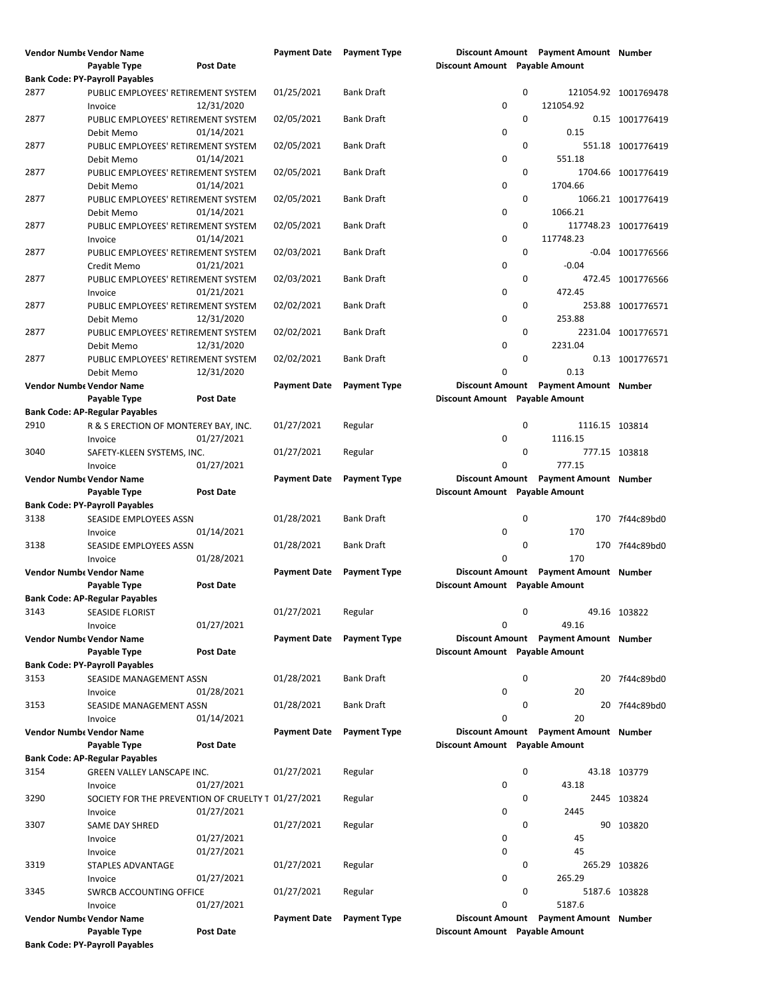|      | <b>Vendor Numbe Vendor Name</b>                                 |                  | <b>Payment Date</b> Payment Type |                     |                                |              | Discount Amount Payment Amount Number         |                      |
|------|-----------------------------------------------------------------|------------------|----------------------------------|---------------------|--------------------------------|--------------|-----------------------------------------------|----------------------|
|      | Payable Type                                                    | <b>Post Date</b> |                                  |                     | Discount Amount Payable Amount |              |                                               |                      |
|      | <b>Bank Code: PY-Payroll Payables</b>                           |                  |                                  |                     |                                |              |                                               |                      |
| 2877 | PUBLIC EMPLOYEES' RETIREMENT SYSTEM<br>Invoice                  | 12/31/2020       | 01/25/2021                       | <b>Bank Draft</b>   | 0                              | 0            | 121054.92                                     | 121054.92 1001769478 |
| 2877 | PUBLIC EMPLOYEES' RETIREMENT SYSTEM                             |                  | 02/05/2021                       | <b>Bank Draft</b>   |                                | 0            |                                               | 0.15 1001776419      |
| 2877 | Debit Memo<br>PUBLIC EMPLOYEES' RETIREMENT SYSTEM               | 01/14/2021       | 02/05/2021                       | <b>Bank Draft</b>   | 0                              | 0            | 0.15                                          | 551.18 1001776419    |
| 2877 | Debit Memo<br>PUBLIC EMPLOYEES' RETIREMENT SYSTEM               | 01/14/2021       | 02/05/2021                       | <b>Bank Draft</b>   | 0                              | 0            | 551.18                                        | 1704.66 1001776419   |
|      | Debit Memo                                                      | 01/14/2021       |                                  |                     | $\mathbf 0$                    |              | 1704.66                                       |                      |
| 2877 | PUBLIC EMPLOYEES' RETIREMENT SYSTEM<br>Debit Memo               | 01/14/2021       | 02/05/2021                       | <b>Bank Draft</b>   | 0                              | 0            | 1066.21                                       | 1066.21 1001776419   |
| 2877 | PUBLIC EMPLOYEES' RETIREMENT SYSTEM<br>Invoice                  | 01/14/2021       | 02/05/2021                       | <b>Bank Draft</b>   | 0                              | 0            | 117748.23                                     | 117748.23 1001776419 |
| 2877 | PUBLIC EMPLOYEES' RETIREMENT SYSTEM<br>Credit Memo              | 01/21/2021       | 02/03/2021                       | <b>Bank Draft</b>   | 0                              | 0            | $-0.04$                                       | -0.04 1001776566     |
| 2877 | PUBLIC EMPLOYEES' RETIREMENT SYSTEM<br>Invoice                  | 01/21/2021       | 02/03/2021                       | <b>Bank Draft</b>   | $\mathbf 0$                    | 0            | 472.45                                        | 472.45 1001776566    |
| 2877 | PUBLIC EMPLOYEES' RETIREMENT SYSTEM                             |                  | 02/02/2021                       | <b>Bank Draft</b>   |                                | 0            |                                               | 253.88 1001776571    |
| 2877 | Debit Memo<br>PUBLIC EMPLOYEES' RETIREMENT SYSTEM               | 12/31/2020       | 02/02/2021                       | <b>Bank Draft</b>   | 0                              | 0            | 253.88                                        | 2231.04 1001776571   |
| 2877 | Debit Memo<br>PUBLIC EMPLOYEES' RETIREMENT SYSTEM               | 12/31/2020       | 02/02/2021                       | <b>Bank Draft</b>   | 0                              | $\mathbf 0$  | 2231.04                                       | 0.13 1001776571      |
|      | Debit Memo<br>Vendor Numbe Vendor Name                          | 12/31/2020       | <b>Payment Date</b>              | <b>Payment Type</b> | $\mathbf 0$                    |              | 0.13<br>Discount Amount Payment Amount Number |                      |
|      | Payable Type                                                    | <b>Post Date</b> |                                  |                     | Discount Amount Payable Amount |              |                                               |                      |
|      | <b>Bank Code: AP-Regular Payables</b>                           |                  |                                  |                     |                                |              |                                               |                      |
| 2910 | R & S ERECTION OF MONTEREY BAY, INC.<br>Invoice                 | 01/27/2021       | 01/27/2021                       | Regular             | $\mathbf 0$                    | 0            | 1116.15 103814<br>1116.15                     |                      |
| 3040 | SAFETY-KLEEN SYSTEMS, INC.<br>Invoice                           | 01/27/2021       | 01/27/2021                       | Regular             | 0                              | $\mathbf 0$  | 777.15                                        | 777.15 103818        |
|      | <b>Vendor Numbe Vendor Name</b><br>Payable Type                 | <b>Post Date</b> | <b>Payment Date</b>              | <b>Payment Type</b> | Discount Amount Payable Amount |              | Discount Amount Payment Amount Number         |                      |
|      |                                                                 |                  |                                  |                     |                                |              |                                               |                      |
| 3138 | <b>Bank Code: PY-Payroll Payables</b><br>SEASIDE EMPLOYEES ASSN |                  | 01/28/2021                       | <b>Bank Draft</b>   |                                | 0            |                                               | 170 7f44c89bd0       |
|      | Invoice                                                         | 01/14/2021       |                                  |                     | 0                              |              | 170                                           |                      |
| 3138 | SEASIDE EMPLOYEES ASSN                                          |                  | 01/28/2021                       | <b>Bank Draft</b>   |                                | 0            |                                               | 170 7f44c89bd0       |
|      | Invoice                                                         | 01/28/2021       |                                  |                     | 0                              |              | 170                                           |                      |
|      | <b>Vendor Numbe Vendor Name</b><br>Payable Type                 | <b>Post Date</b> | <b>Payment Date</b>              | <b>Payment Type</b> | Discount Amount Payable Amount |              | Discount Amount Payment Amount Number         |                      |
|      | <b>Bank Code: AP-Regular Payables</b>                           |                  |                                  |                     |                                |              |                                               |                      |
| 3143 | <b>SEASIDE FLORIST</b>                                          |                  | 01/27/2021                       | Regular             |                                | $\mathbf{0}$ |                                               | 49.16 103822         |
|      | Invoice                                                         | 01/27/2021       |                                  |                     | 0                              |              | 49.16                                         |                      |
|      | Vendor Numbe Vendor Name                                        |                  | <b>Payment Date</b>              | <b>Payment Type</b> |                                |              | Discount Amount Payment Amount Number         |                      |
|      | Payable Type                                                    | <b>Post Date</b> |                                  |                     | Discount Amount Payable Amount |              |                                               |                      |
|      | <b>Bank Code: PY-Payroll Payables</b>                           |                  |                                  |                     |                                | 0            |                                               |                      |
| 3153 | SEASIDE MANAGEMENT ASSN<br>Invoice                              | 01/28/2021       | 01/28/2021                       | <b>Bank Draft</b>   | 0                              |              | 20                                            | 20 7f44c89bd0        |
| 3153 | SEASIDE MANAGEMENT ASSN<br>Invoice                              | 01/14/2021       | 01/28/2021                       | <b>Bank Draft</b>   | 0                              | 0            | 20                                            | 20 7f44c89bd0        |
|      | <b>Vendor Numbe Vendor Name</b>                                 |                  | <b>Payment Date</b>              | <b>Payment Type</b> |                                |              | Discount Amount Payment Amount Number         |                      |
|      | Payable Type                                                    | Post Date        |                                  |                     | Discount Amount Payable Amount |              |                                               |                      |
|      | <b>Bank Code: AP-Regular Payables</b>                           |                  |                                  |                     |                                |              |                                               |                      |
| 3154 | GREEN VALLEY LANSCAPE INC.                                      |                  | 01/27/2021                       | Regular             |                                | 0            |                                               | 43.18 103779         |
|      | Invoice                                                         | 01/27/2021       |                                  |                     | 0                              |              | 43.18                                         |                      |
| 3290 | SOCIETY FOR THE PREVENTION OF CRUELTY T 01/27/2021<br>Invoice   | 01/27/2021       |                                  | Regular             | 0                              | 0            | 2445                                          | 2445 103824          |
| 3307 | SAME DAY SHRED                                                  |                  | 01/27/2021                       | Regular             |                                | 0            |                                               | 90 103820            |
|      | Invoice                                                         | 01/27/2021       |                                  |                     | 0                              |              | 45                                            |                      |
|      | Invoice                                                         | 01/27/2021       |                                  |                     | 0                              |              | 45                                            |                      |
| 3319 | STAPLES ADVANTAGE                                               |                  | 01/27/2021                       | Regular             |                                | 0            |                                               | 265.29 103826        |
|      | Invoice                                                         | 01/27/2021       |                                  |                     | 0                              |              | 265.29                                        |                      |
| 3345 | SWRCB ACCOUNTING OFFICE                                         |                  | 01/27/2021                       | Regular             |                                | 0            |                                               | 5187.6 103828        |
|      | Invoice                                                         | 01/27/2021       |                                  |                     | 0                              |              | 5187.6                                        |                      |
|      | <b>Vendor Numbe Vendor Name</b><br>Payable Type                 | <b>Post Date</b> | <b>Payment Date</b>              | <b>Payment Type</b> | Discount Amount Payable Amount |              | Discount Amount Payment Amount Number         |                      |
|      | <b>Bank Code: PY-Payroll Payables</b>                           |                  |                                  |                     |                                |              |                                               |                      |
|      |                                                                 |                  |                                  |                     |                                |              |                                               |                      |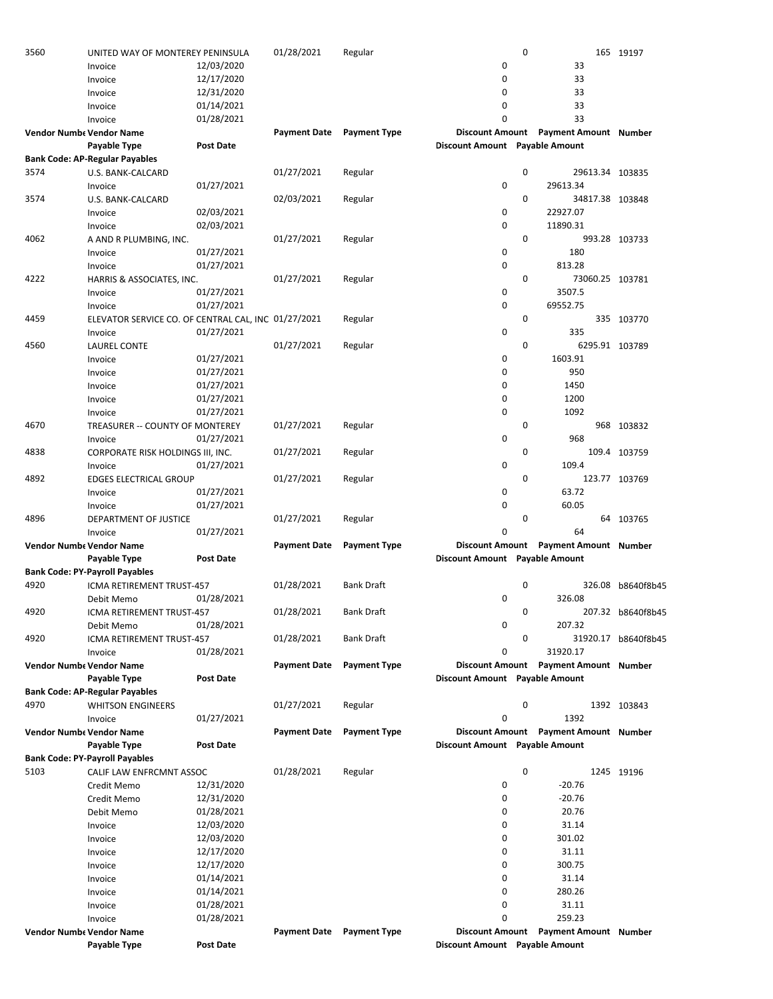| 3560                            | UNITED WAY OF MONTEREY PENINSULA                    |                  | 01/28/2021                | Regular             |                                                          | 0           |                                       | 165 19197           |
|---------------------------------|-----------------------------------------------------|------------------|---------------------------|---------------------|----------------------------------------------------------|-------------|---------------------------------------|---------------------|
|                                 | Invoice                                             | 12/03/2020       |                           |                     | 0                                                        |             | 33                                    |                     |
|                                 | Invoice                                             | 12/17/2020       |                           |                     | 0                                                        |             | 33                                    |                     |
|                                 | Invoice                                             | 12/31/2020       |                           |                     | 0                                                        |             | 33                                    |                     |
|                                 | Invoice                                             | 01/14/2021       |                           |                     | 0                                                        |             | 33                                    |                     |
|                                 | Invoice                                             | 01/28/2021       |                           |                     | $\Omega$                                                 |             | 33                                    |                     |
| <b>Vendor Numbe Vendor Name</b> |                                                     |                  | <b>Payment Date</b>       | <b>Payment Type</b> | <b>Discount Amount</b>                                   |             | <b>Payment Amount Number</b>          |                     |
|                                 | Payable Type                                        | <b>Post Date</b> |                           |                     | Discount Amount Payable Amount                           |             |                                       |                     |
|                                 | <b>Bank Code: AP-Regular Payables</b>               |                  |                           |                     |                                                          |             |                                       |                     |
| 3574                            | U.S. BANK-CALCARD                                   |                  | 01/27/2021                | Regular             |                                                          | 0           | 29613.34 103835                       |                     |
|                                 | Invoice                                             | 01/27/2021       |                           |                     | 0                                                        |             | 29613.34                              |                     |
| 3574                            | U.S. BANK-CALCARD                                   |                  | 02/03/2021                | Regular             |                                                          | 0           | 34817.38 103848                       |                     |
|                                 | Invoice                                             | 02/03/2021       |                           |                     | 0                                                        |             | 22927.07                              |                     |
|                                 |                                                     | 02/03/2021       |                           |                     | 0                                                        |             | 11890.31                              |                     |
| 4062                            | Invoice                                             |                  |                           |                     |                                                          | 0           |                                       | 993.28 103733       |
|                                 | A AND R PLUMBING, INC.                              |                  | 01/27/2021                | Regular             |                                                          |             |                                       |                     |
|                                 | Invoice                                             | 01/27/2021       |                           |                     | 0                                                        |             | 180                                   |                     |
|                                 | Invoice                                             | 01/27/2021       |                           |                     | $\mathbf 0$                                              |             | 813.28                                |                     |
| 4222                            | HARRIS & ASSOCIATES, INC.                           |                  | 01/27/2021                | Regular             |                                                          | $\mathbf 0$ | 73060.25 103781                       |                     |
|                                 | Invoice                                             | 01/27/2021       |                           |                     | 0                                                        |             | 3507.5                                |                     |
|                                 | Invoice                                             | 01/27/2021       |                           |                     | $\mathbf 0$                                              |             | 69552.75                              |                     |
| 4459                            | ELEVATOR SERVICE CO. OF CENTRAL CAL, INC 01/27/2021 |                  |                           | Regular             |                                                          | 0           |                                       | 335 103770          |
|                                 | Invoice                                             | 01/27/2021       |                           |                     | $\mathbf 0$                                              |             | 335                                   |                     |
| 4560                            | <b>LAUREL CONTE</b>                                 |                  | 01/27/2021                | Regular             |                                                          | $\mathbf 0$ | 6295.91 103789                        |                     |
|                                 | Invoice                                             | 01/27/2021       |                           |                     | 0                                                        |             | 1603.91                               |                     |
|                                 | Invoice                                             | 01/27/2021       |                           |                     | 0                                                        |             | 950                                   |                     |
|                                 | Invoice                                             | 01/27/2021       |                           |                     | 0                                                        |             | 1450                                  |                     |
|                                 | Invoice                                             | 01/27/2021       |                           |                     | $\mathbf 0$                                              |             | 1200                                  |                     |
|                                 | Invoice                                             | 01/27/2021       |                           |                     | $\mathbf 0$                                              |             | 1092                                  |                     |
| 4670                            | TREASURER -- COUNTY OF MONTEREY                     |                  | 01/27/2021                | Regular             |                                                          | 0           |                                       | 968 103832          |
|                                 | Invoice                                             | 01/27/2021       |                           |                     | $\mathbf 0$                                              |             | 968                                   |                     |
| 4838                            | CORPORATE RISK HOLDINGS III, INC.                   |                  | 01/27/2021                | Regular             |                                                          | 0           |                                       | 109.4 103759        |
|                                 | Invoice                                             | 01/27/2021       |                           |                     | 0                                                        |             | 109.4                                 |                     |
| 4892                            | <b>EDGES ELECTRICAL GROUP</b>                       |                  | 01/27/2021                | Regular             |                                                          | 0           |                                       | 123.77 103769       |
|                                 | Invoice                                             | 01/27/2021       |                           |                     | 0                                                        |             | 63.72                                 |                     |
|                                 | Invoice                                             | 01/27/2021       |                           |                     | 0                                                        |             | 60.05                                 |                     |
| 4896                            | DEPARTMENT OF JUSTICE                               |                  | 01/27/2021                | Regular             |                                                          | 0           |                                       | 64 103765           |
|                                 | Invoice                                             | 01/27/2021       |                           |                     | 0                                                        |             | 64                                    |                     |
| <b>Vendor Numbe Vendor Name</b> |                                                     |                  | <b>Payment Date</b>       | <b>Payment Type</b> | <b>Discount Amount</b>                                   |             | <b>Payment Amount Number</b>          |                     |
|                                 | Payable Type                                        | <b>Post Date</b> |                           |                     | Discount Amount Payable Amount                           |             |                                       |                     |
|                                 | <b>Bank Code: PY-Payroll Payables</b>               |                  |                           |                     |                                                          |             |                                       |                     |
| 4920                            |                                                     |                  |                           | <b>Bank Draft</b>   |                                                          | 0           |                                       |                     |
|                                 | ICMA RETIREMENT TRUST-457                           |                  | 01/28/2021                |                     | 0                                                        |             |                                       | 326.08 b8640f8b45   |
|                                 | Debit Memo                                          | 01/28/2021       |                           |                     |                                                          |             | 326.08                                |                     |
| 4920                            | ICMA RETIREMENT TRUST-457                           |                  | 01/28/2021                | Bank Draft          |                                                          | 0           |                                       | 207.32 b8640f8b45   |
|                                 | Debit Memo                                          | 01/28/2021       |                           |                     | 0                                                        |             | 207.32                                |                     |
| 4920                            | ICMA RETIREMENT TRUST-457                           |                  | 01/28/2021                | <b>Bank Draft</b>   |                                                          | $\mathbf 0$ |                                       | 31920.17 b8640f8b45 |
|                                 | Invoice                                             | 01/28/2021       |                           |                     | $\mathbf 0$                                              |             | 31920.17                              |                     |
| Vendor Numbe Vendor Name        |                                                     |                  | <b>Payment Date</b>       | <b>Payment Type</b> |                                                          |             | Discount Amount Payment Amount Number |                     |
|                                 | Payable Type                                        | Post Date        |                           |                     | Discount Amount Payable Amount                           |             |                                       |                     |
|                                 | <b>Bank Code: AP-Regular Payables</b>               |                  |                           |                     |                                                          |             |                                       |                     |
| 4970                            | <b>WHITSON ENGINEERS</b>                            |                  | 01/27/2021                | Regular             |                                                          | 0           |                                       | 1392 103843         |
|                                 | Invoice                                             | 01/27/2021       |                           |                     | 0                                                        |             | 1392                                  |                     |
| <b>Vendor Numbe Vendor Name</b> |                                                     |                  | <b>Payment Date</b>       | <b>Payment Type</b> |                                                          |             | Discount Amount Payment Amount Number |                     |
|                                 | Payable Type                                        | <b>Post Date</b> |                           |                     | Discount Amount Payable Amount                           |             |                                       |                     |
|                                 | <b>Bank Code: PY-Payroll Payables</b>               |                  |                           |                     |                                                          |             |                                       |                     |
| 5103                            | CALIF LAW ENFRCMNT ASSOC                            |                  | 01/28/2021                | Regular             |                                                          | 0           |                                       | 1245 19196          |
|                                 | Credit Memo                                         | 12/31/2020       |                           |                     | 0                                                        |             | $-20.76$                              |                     |
|                                 | Credit Memo                                         | 12/31/2020       |                           |                     | 0                                                        |             | $-20.76$                              |                     |
|                                 | Debit Memo                                          | 01/28/2021       |                           |                     | 0                                                        |             | 20.76                                 |                     |
|                                 | Invoice                                             | 12/03/2020       |                           |                     | 0                                                        |             | 31.14                                 |                     |
|                                 | Invoice                                             | 12/03/2020       |                           |                     | 0                                                        |             | 301.02                                |                     |
|                                 | Invoice                                             | 12/17/2020       |                           |                     | 0                                                        |             | 31.11                                 |                     |
|                                 | Invoice                                             | 12/17/2020       |                           |                     | 0                                                        |             | 300.75                                |                     |
|                                 | Invoice                                             | 01/14/2021       |                           |                     | 0                                                        |             | 31.14                                 |                     |
|                                 |                                                     |                  |                           |                     | 0                                                        |             | 280.26                                |                     |
|                                 |                                                     |                  |                           |                     |                                                          |             |                                       |                     |
|                                 | Invoice                                             | 01/14/2021       |                           |                     | 0                                                        |             |                                       |                     |
|                                 | Invoice                                             | 01/28/2021       |                           |                     |                                                          |             | 31.11                                 |                     |
|                                 | Invoice                                             | 01/28/2021       |                           |                     | 0                                                        |             | 259.23                                |                     |
| <b>Vendor Numbe Vendor Name</b> | Payable Type                                        | <b>Post Date</b> | Payment Date Payment Type |                     | <b>Discount Amount</b><br>Discount Amount Payable Amount |             | <b>Payment Amount Number</b>          |                     |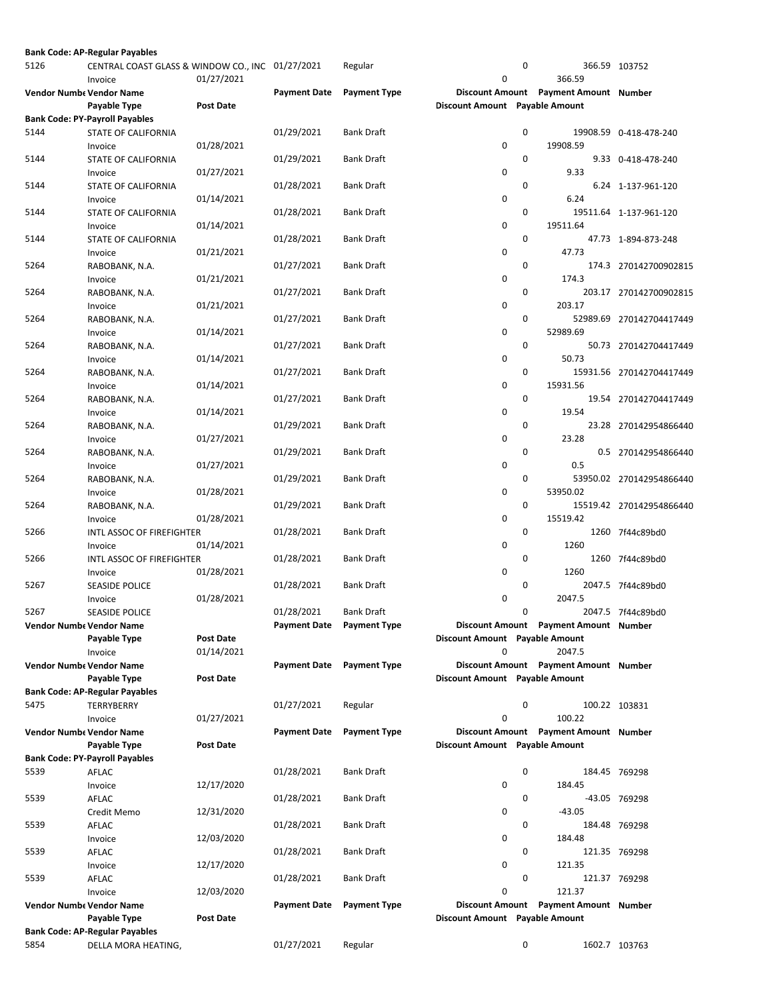|      | <b>Bank Code: AP-Regular Payables</b>                       |                         |                     |                     |                                     |   |                                       |                          |
|------|-------------------------------------------------------------|-------------------------|---------------------|---------------------|-------------------------------------|---|---------------------------------------|--------------------------|
| 5126 | CENTRAL COAST GLASS & WINDOW CO., INC 01/27/2021<br>Invoice | 01/27/2021              |                     | Regular             | 0                                   | 0 | 366.59                                | 366.59 103752            |
|      | <b>Vendor Numbe Vendor Name</b><br>Payable Type             | Post Date               | <b>Payment Date</b> | <b>Payment Type</b> | Discount Amount Payable Amount      |   | Discount Amount Payment Amount Number |                          |
|      | <b>Bank Code: PY-Payroll Payables</b>                       |                         |                     |                     |                                     |   |                                       |                          |
| 5144 | <b>STATE OF CALIFORNIA</b><br>Invoice                       | 01/28/2021              | 01/29/2021          | <b>Bank Draft</b>   | 0                                   | 0 | 19908.59                              | 19908.59 0-418-478-240   |
| 5144 | STATE OF CALIFORNIA                                         |                         | 01/29/2021          | <b>Bank Draft</b>   |                                     | 0 | 9.33                                  | 9.33 0-418-478-240       |
| 5144 | Invoice<br>STATE OF CALIFORNIA                              | 01/27/2021              | 01/28/2021          | <b>Bank Draft</b>   | 0                                   | 0 |                                       | 6.24 1-137-961-120       |
| 5144 | Invoice<br>STATE OF CALIFORNIA                              | 01/14/2021              | 01/28/2021          | <b>Bank Draft</b>   | 0                                   | 0 | 6.24                                  | 19511.64 1-137-961-120   |
| 5144 | Invoice<br>STATE OF CALIFORNIA                              | 01/14/2021              | 01/28/2021          | <b>Bank Draft</b>   | 0                                   | 0 | 19511.64                              | 47.73 1-894-873-248      |
| 5264 | Invoice<br>RABOBANK, N.A.                                   | 01/21/2021              | 01/27/2021          | Bank Draft          | 0                                   | 0 | 47.73                                 | 174.3 270142700902815    |
| 5264 | Invoice<br>RABOBANK, N.A.                                   | 01/21/2021              | 01/27/2021          | Bank Draft          | 0                                   | 0 | 174.3                                 | 203.17 270142700902815   |
|      | Invoice                                                     | 01/21/2021              |                     |                     | 0                                   |   | 203.17                                |                          |
| 5264 | RABOBANK, N.A.<br>Invoice                                   | 01/14/2021              | 01/27/2021          | <b>Bank Draft</b>   | 0                                   | 0 | 52989.69                              | 52989.69 270142704417449 |
| 5264 | RABOBANK, N.A.<br>Invoice                                   | 01/14/2021              | 01/27/2021          | <b>Bank Draft</b>   | 0                                   | 0 | 50.73                                 | 50.73 270142704417449    |
| 5264 | RABOBANK, N.A.<br>Invoice                                   | 01/14/2021              | 01/27/2021          | <b>Bank Draft</b>   | 0                                   | 0 | 15931.56                              | 15931.56 270142704417449 |
| 5264 | RABOBANK, N.A.<br>Invoice                                   | 01/14/2021              | 01/27/2021          | <b>Bank Draft</b>   | 0                                   | 0 | 19.54                                 | 19.54 270142704417449    |
| 5264 | RABOBANK, N.A.<br>Invoice                                   | 01/27/2021              | 01/29/2021          | <b>Bank Draft</b>   | 0                                   | 0 | 23.28                                 | 23.28 270142954866440    |
| 5264 | RABOBANK, N.A.<br>Invoice                                   | 01/27/2021              | 01/29/2021          | <b>Bank Draft</b>   | 0                                   | 0 | 0.5                                   | 0.5 270142954866440      |
| 5264 | RABOBANK, N.A.                                              |                         | 01/29/2021          | <b>Bank Draft</b>   |                                     | 0 |                                       | 53950.02 270142954866440 |
| 5264 | Invoice<br>RABOBANK, N.A.                                   | 01/28/2021              | 01/29/2021          | <b>Bank Draft</b>   | 0                                   | 0 | 53950.02                              | 15519.42 270142954866440 |
| 5266 | Invoice<br>INTL ASSOC OF FIREFIGHTER                        | 01/28/2021              | 01/28/2021          | <b>Bank Draft</b>   | 0                                   | 0 | 15519.42                              | 1260 7f44c89bd0          |
| 5266 | Invoice<br>INTL ASSOC OF FIREFIGHTER                        | 01/14/2021              | 01/28/2021          | <b>Bank Draft</b>   | 0                                   | 0 | 1260                                  | 1260 7f44c89bd0          |
| 5267 | Invoice<br><b>SEASIDE POLICE</b>                            | 01/28/2021              | 01/28/2021          | <b>Bank Draft</b>   | 0                                   | 0 | 1260                                  | 2047.5 7f44c89bd0        |
| 5267 | Invoice<br>SEASIDE POLICE                                   | 01/28/2021              | 01/28/2021          | <b>Bank Draft</b>   | 0                                   | 0 | 2047.5                                | 2047.5 7f44c89bd0        |
|      | Vendor Numb، Vendor Name                                    |                         | <b>Payment Date</b> | <b>Payment Type</b> |                                     |   | Discount Amount Payment Amount Number |                          |
|      | Payable Type<br>Invoice                                     | Post Date<br>01/14/2021 |                     |                     | Discount Amount Payable Amount<br>0 |   | 2047.5                                |                          |
|      | <b>Vendor Numbe Vendor Name</b><br>Payable Type             | Post Date               | <b>Payment Date</b> | <b>Payment Type</b> | Discount Amount Payable Amount      |   | Discount Amount Payment Amount Number |                          |
|      | <b>Bank Code: AP-Regular Payables</b>                       |                         |                     |                     |                                     |   |                                       |                          |
| 5475 | TERRYBERRY<br>Invoice                                       | 01/27/2021              | 01/27/2021          | Regular             | 0                                   | 0 | 100.22                                | 100.22 103831            |
|      | <b>Vendor Numbe Vendor Name</b><br>Payable Type             | Post Date               | <b>Payment Date</b> | <b>Payment Type</b> | Discount Amount Payable Amount      |   | Discount Amount Payment Amount Number |                          |
|      | <b>Bank Code: PY-Payroll Payables</b>                       |                         |                     |                     |                                     |   |                                       |                          |
| 5539 | AFLAC                                                       | 12/17/2020              | 01/28/2021          | <b>Bank Draft</b>   | 0                                   | 0 | 184.45                                | 184.45 769298            |
| 5539 | Invoice<br>AFLAC                                            |                         | 01/28/2021          | <b>Bank Draft</b>   |                                     | 0 |                                       | -43.05 769298            |
| 5539 | Credit Memo<br>AFLAC                                        | 12/31/2020              | 01/28/2021          | Bank Draft          | 0                                   | 0 | $-43.05$                              | 184.48 769298            |
| 5539 | Invoice<br>AFLAC                                            | 12/03/2020              | 01/28/2021          | <b>Bank Draft</b>   | 0                                   | 0 | 184.48                                | 121.35 769298            |
| 5539 | Invoice<br>AFLAC                                            | 12/17/2020              | 01/28/2021          | <b>Bank Draft</b>   | 0                                   | 0 | 121.35                                | 121.37 769298            |
|      | Invoice                                                     | 12/03/2020              |                     |                     | 0                                   |   | 121.37                                |                          |
|      | Vendor Numbe Vendor Name<br>Payable Type                    | Post Date               | <b>Payment Date</b> | <b>Payment Type</b> | Discount Amount Payable Amount      |   | Discount Amount Payment Amount Number |                          |
|      | <b>Bank Code: AP-Regular Payables</b>                       |                         |                     |                     |                                     |   |                                       |                          |
| 5854 | DELLA MORA HEATING,                                         |                         | 01/27/2021          | Regular             |                                     | 0 |                                       | 1602.7 103763            |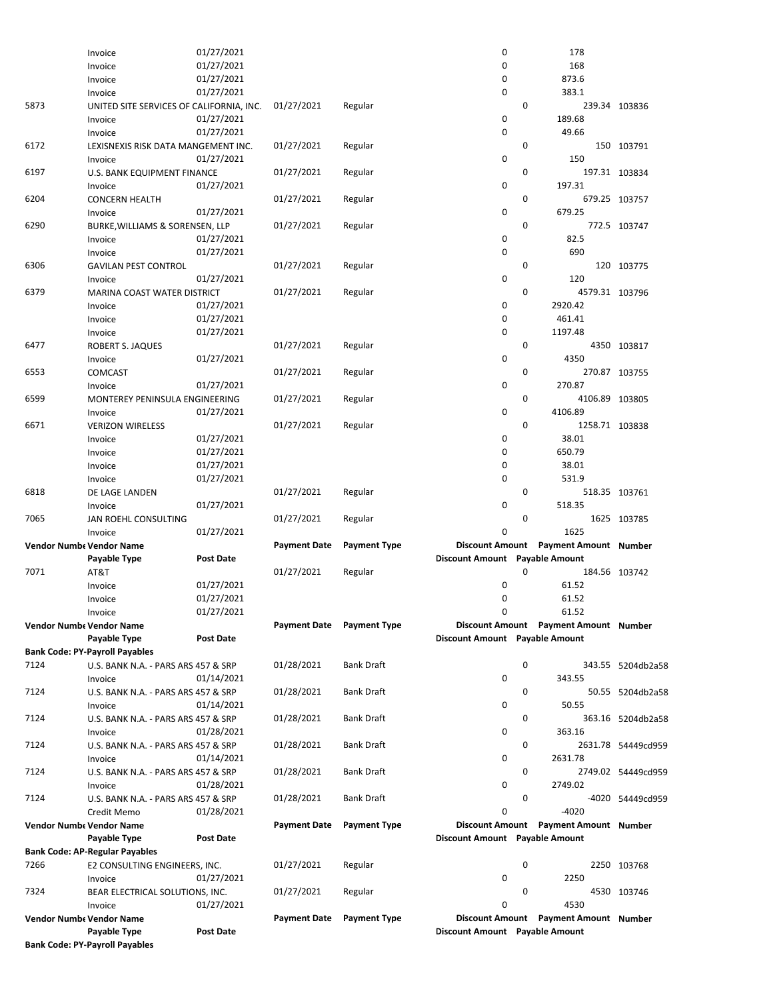|      | Invoice                                               | 01/27/2021 |                     |                                  | 0                              | 178                                   |                    |
|------|-------------------------------------------------------|------------|---------------------|----------------------------------|--------------------------------|---------------------------------------|--------------------|
|      | Invoice                                               | 01/27/2021 |                     |                                  | 0                              | 168                                   |                    |
|      | Invoice                                               | 01/27/2021 |                     |                                  | 0                              | 873.6                                 |                    |
|      | Invoice                                               | 01/27/2021 |                     |                                  | 0                              | 383.1                                 |                    |
| 5873 | UNITED SITE SERVICES OF CALIFORNIA, INC.              |            | 01/27/2021          | Regular                          |                                | $\mathbf 0$                           | 239.34 103836      |
|      | Invoice                                               | 01/27/2021 |                     |                                  | 0                              | 189.68                                |                    |
|      | Invoice                                               | 01/27/2021 |                     |                                  | 0                              | 49.66                                 |                    |
| 6172 | LEXISNEXIS RISK DATA MANGEMENT INC.                   |            | 01/27/2021          | Regular                          |                                | 0                                     | 150 103791         |
|      | Invoice                                               | 01/27/2021 |                     |                                  | 0                              | 150                                   |                    |
| 6197 | U.S. BANK EQUIPMENT FINANCE                           |            | 01/27/2021          | Regular                          |                                | $\mathbf 0$                           | 197.31 103834      |
|      | Invoice                                               | 01/27/2021 |                     |                                  | 0                              | 197.31                                |                    |
|      |                                                       |            | 01/27/2021          |                                  |                                | $\mathbf 0$                           |                    |
| 6204 | <b>CONCERN HEALTH</b>                                 |            |                     | Regular                          |                                |                                       | 679.25 103757      |
|      | Invoice                                               | 01/27/2021 |                     |                                  | 0                              | 679.25                                |                    |
| 6290 | BURKE, WILLIAMS & SORENSEN, LLP                       |            | 01/27/2021          | Regular                          |                                | $\mathbf 0$                           | 772.5 103747       |
|      | Invoice                                               | 01/27/2021 |                     |                                  | 0                              | 82.5                                  |                    |
|      | Invoice                                               | 01/27/2021 |                     |                                  | 0                              | 690                                   |                    |
| 6306 | <b>GAVILAN PEST CONTROL</b>                           |            | 01/27/2021          | Regular                          |                                | $\mathbf 0$                           | 120 103775         |
|      | Invoice                                               | 01/27/2021 |                     |                                  | 0                              | 120                                   |                    |
| 6379 | MARINA COAST WATER DISTRICT                           |            | 01/27/2021          | Regular                          |                                | 0<br>4579.31 103796                   |                    |
|      | Invoice                                               | 01/27/2021 |                     |                                  | 0                              | 2920.42                               |                    |
|      | Invoice                                               | 01/27/2021 |                     |                                  | 0                              | 461.41                                |                    |
|      | Invoice                                               | 01/27/2021 |                     |                                  | 0                              | 1197.48                               |                    |
| 6477 | ROBERT S. JAQUES                                      |            | 01/27/2021          | Regular                          |                                | 0                                     | 4350 103817        |
|      | Invoice                                               | 01/27/2021 |                     |                                  | 0                              | 4350                                  |                    |
| 6553 | <b>COMCAST</b>                                        |            | 01/27/2021          | Regular                          |                                | 0                                     | 270.87 103755      |
|      |                                                       | 01/27/2021 |                     |                                  | 0                              | 270.87                                |                    |
|      | Invoice                                               |            |                     |                                  |                                |                                       |                    |
| 6599 | MONTEREY PENINSULA ENGINEERING                        |            | 01/27/2021          | Regular                          |                                | 0<br>4106.89 103805                   |                    |
|      | Invoice                                               | 01/27/2021 |                     |                                  | 0                              | 4106.89                               |                    |
| 6671 | <b>VERIZON WIRELESS</b>                               |            | 01/27/2021          | Regular                          |                                | 0<br>1258.71 103838                   |                    |
|      | Invoice                                               | 01/27/2021 |                     |                                  | 0                              | 38.01                                 |                    |
|      | Invoice                                               | 01/27/2021 |                     |                                  | 0                              | 650.79                                |                    |
|      | Invoice                                               | 01/27/2021 |                     |                                  | 0                              | 38.01                                 |                    |
|      | Invoice                                               | 01/27/2021 |                     |                                  | 0                              | 531.9                                 |                    |
| 6818 | DE LAGE LANDEN                                        |            | 01/27/2021          | Regular                          |                                | 0                                     | 518.35 103761      |
|      | Invoice                                               | 01/27/2021 |                     |                                  | 0                              | 518.35                                |                    |
|      |                                                       |            |                     |                                  |                                |                                       |                    |
|      |                                                       |            |                     |                                  |                                |                                       |                    |
| 7065 | JAN ROEHL CONSULTING                                  |            | 01/27/2021          | Regular                          |                                | 0                                     | 1625 103785        |
|      | Invoice                                               | 01/27/2021 |                     |                                  | 0                              | 1625                                  |                    |
|      | <b>Vendor Numbe Vendor Name</b>                       |            | <b>Payment Date</b> | <b>Payment Type</b>              |                                | Discount Amount Payment Amount Number |                    |
|      | Payable Type                                          | Post Date  |                     |                                  | <b>Discount Amount</b>         | <b>Payable Amount</b>                 |                    |
| 7071 | AT&T                                                  |            | 01/27/2021          | Regular                          |                                | 0                                     | 184.56 103742      |
|      | Invoice                                               | 01/27/2021 |                     |                                  | 0                              | 61.52                                 |                    |
|      | Invoice                                               | 01/27/2021 |                     |                                  | 0                              | 61.52                                 |                    |
|      | Invoice                                               | 01/27/2021 |                     |                                  | 0                              | 61.52                                 |                    |
|      | Vendor Numbe Vendor Name                              |            |                     | <b>Payment Date</b> Payment Type |                                | Discount Amount Payment Amount Number |                    |
|      | Payable Type                                          | Post Date  |                     |                                  | Discount Amount Payable Amount |                                       |                    |
|      | <b>Bank Code: PY-Payroll Payables</b>                 |            |                     |                                  |                                |                                       |                    |
| 7124 | U.S. BANK N.A. - PARS ARS 457 & SRP                   |            | 01/28/2021          | <b>Bank Draft</b>                |                                | $\mathbf 0$                           | 343.55 5204db2a58  |
|      | Invoice                                               | 01/14/2021 |                     |                                  | 0                              | 343.55                                |                    |
| 7124 | U.S. BANK N.A. - PARS ARS 457 & SRP                   |            | 01/28/2021          | <b>Bank Draft</b>                |                                | 0                                     |                    |
|      |                                                       |            |                     |                                  |                                |                                       | 50.55 5204db2a58   |
|      | Invoice                                               | 01/14/2021 |                     |                                  | 0                              | 50.55                                 |                    |
| 7124 | U.S. BANK N.A. - PARS ARS 457 & SRP                   |            | 01/28/2021          | <b>Bank Draft</b>                |                                | 0                                     | 363.16 5204db2a58  |
|      | Invoice                                               | 01/28/2021 |                     |                                  | 0                              | 363.16                                |                    |
| 7124 | U.S. BANK N.A. - PARS ARS 457 & SRP                   |            | 01/28/2021          | <b>Bank Draft</b>                |                                | 0                                     | 2631.78 54449cd959 |
|      | Invoice                                               | 01/14/2021 |                     |                                  | 0                              | 2631.78                               |                    |
| 7124 | U.S. BANK N.A. - PARS ARS 457 & SRP                   |            | 01/28/2021          | <b>Bank Draft</b>                |                                | 0                                     | 2749.02 54449cd959 |
|      | Invoice                                               | 01/28/2021 |                     |                                  | 0                              | 2749.02                               |                    |
| 7124 | U.S. BANK N.A. - PARS ARS 457 & SRP                   |            | 01/28/2021          | <b>Bank Draft</b>                |                                | 0                                     | -4020 54449cd959   |
|      | Credit Memo                                           | 01/28/2021 |                     |                                  | 0                              | $-4020$                               |                    |
|      | Vendor Numbe Vendor Name                              |            | <b>Payment Date</b> | <b>Payment Type</b>              |                                | Discount Amount Payment Amount Number |                    |
|      | Payable Type                                          | Post Date  |                     |                                  | Discount Amount Payable Amount |                                       |                    |
|      | <b>Bank Code: AP-Regular Payables</b>                 |            |                     |                                  |                                |                                       |                    |
| 7266 | E2 CONSULTING ENGINEERS, INC.                         |            | 01/27/2021          | Regular                          |                                | 0                                     | 2250 103768        |
|      | Invoice                                               | 01/27/2021 |                     |                                  | 0                              | 2250                                  |                    |
| 7324 | BEAR ELECTRICAL SOLUTIONS, INC.                       |            | 01/27/2021          | Regular                          |                                | 0                                     | 4530 103746        |
|      |                                                       |            |                     |                                  | 0                              | 4530                                  |                    |
|      | Invoice                                               | 01/27/2021 |                     |                                  |                                |                                       |                    |
|      | <b>Vendor Numbe Vendor Name</b>                       |            | <b>Payment Date</b> | <b>Payment Type</b>              |                                | Discount Amount Payment Amount Number |                    |
|      | Payable Type<br><b>Bank Code: PY-Payroll Payables</b> | Post Date  |                     |                                  | Discount Amount Payable Amount |                                       |                    |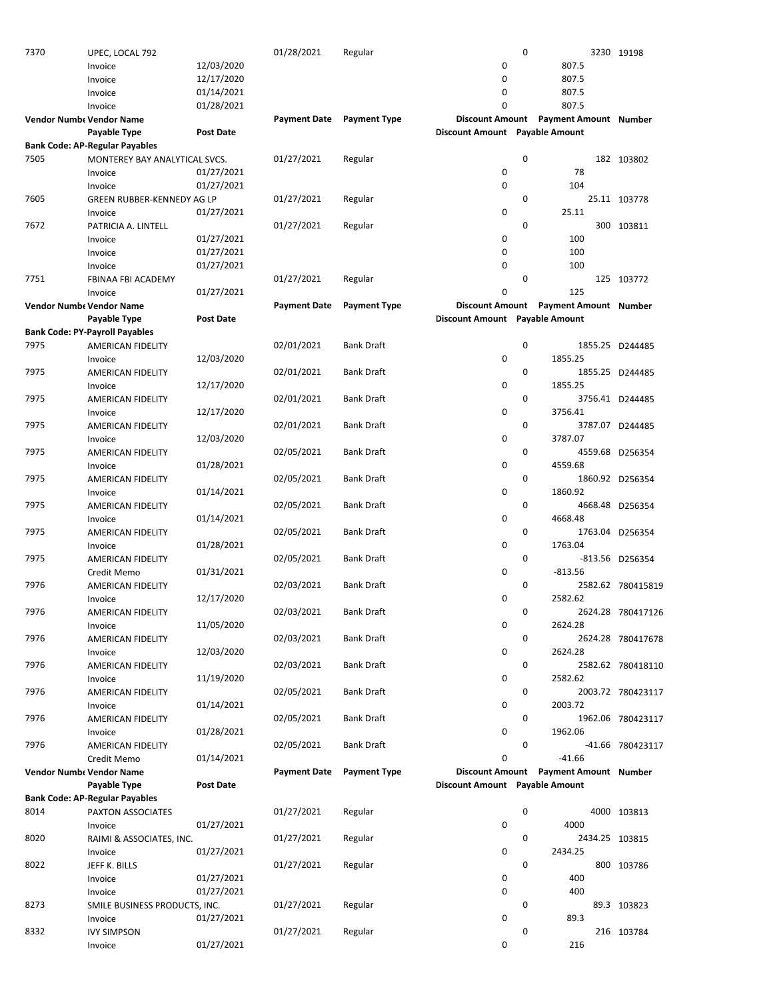| 7370 | UPEC, LOCAL 792                       |                  | 01/28/2021          | Regular             |                                | 0           |                                       | 3230 19198        |
|------|---------------------------------------|------------------|---------------------|---------------------|--------------------------------|-------------|---------------------------------------|-------------------|
|      | Invoice                               | 12/03/2020       |                     |                     | 0                              |             | 807.5                                 |                   |
|      | Invoice                               | 12/17/2020       |                     |                     | 0                              |             | 807.5                                 |                   |
|      |                                       |                  |                     |                     |                                |             |                                       |                   |
|      | Invoice                               | 01/14/2021       |                     |                     | 0                              |             | 807.5                                 |                   |
|      | Invoice                               | 01/28/2021       |                     |                     | 0                              |             | 807.5                                 |                   |
|      | Vendor Numbe Vendor Name              |                  | <b>Payment Date</b> | <b>Payment Type</b> | <b>Discount Amount</b>         |             | <b>Payment Amount Number</b>          |                   |
|      | Payable Type                          | <b>Post Date</b> |                     |                     | Discount Amount Payable Amount |             |                                       |                   |
|      | <b>Bank Code: AP-Regular Payables</b> |                  |                     |                     |                                |             |                                       |                   |
| 7505 | MONTEREY BAY ANALYTICAL SVCS.         |                  | 01/27/2021          | Regular             |                                | 0           |                                       | 182 103802        |
|      |                                       |                  |                     |                     |                                |             |                                       |                   |
|      | Invoice                               | 01/27/2021       |                     |                     | 0                              |             | 78                                    |                   |
|      | Invoice                               | 01/27/2021       |                     |                     | 0                              |             | 104                                   |                   |
| 7605 | GREEN RUBBER-KENNEDY AG LP            |                  | 01/27/2021          | Regular             |                                | 0           |                                       | 25.11 103778      |
|      | Invoice                               | 01/27/2021       |                     |                     | 0                              |             | 25.11                                 |                   |
| 7672 | PATRICIA A. LINTELL                   |                  | 01/27/2021          | Regular             |                                | 0           |                                       | 300 103811        |
|      |                                       | 01/27/2021       |                     |                     | 0                              |             | 100                                   |                   |
|      | Invoice                               |                  |                     |                     |                                |             |                                       |                   |
|      | Invoice                               | 01/27/2021       |                     |                     | 0                              |             | 100                                   |                   |
|      | Invoice                               | 01/27/2021       |                     |                     | 0                              |             | 100                                   |                   |
| 7751 | FBINAA FBI ACADEMY                    |                  | 01/27/2021          | Regular             |                                | $\mathbf 0$ |                                       | 125 103772        |
|      | Invoice                               | 01/27/2021       |                     |                     | 0                              |             | 125                                   |                   |
|      | Vendor Numbe Vendor Name              |                  | <b>Payment Date</b> | <b>Payment Type</b> |                                |             | Discount Amount Payment Amount Number |                   |
|      |                                       |                  |                     |                     |                                |             |                                       |                   |
|      | Payable Type                          | <b>Post Date</b> |                     |                     | Discount Amount Payable Amount |             |                                       |                   |
|      | <b>Bank Code: PY-Payroll Payables</b> |                  |                     |                     |                                |             |                                       |                   |
| 7975 | AMERICAN FIDELITY                     |                  | 02/01/2021          | <b>Bank Draft</b>   |                                | 0           |                                       | 1855.25 D244485   |
|      | Invoice                               | 12/03/2020       |                     |                     | 0                              |             | 1855.25                               |                   |
| 7975 | <b>AMERICAN FIDELITY</b>              |                  | 02/01/2021          | <b>Bank Draft</b>   |                                | 0           |                                       | 1855.25 D244485   |
|      |                                       |                  |                     |                     | $\pmb{0}$                      |             | 1855.25                               |                   |
|      | Invoice                               | 12/17/2020       |                     |                     |                                |             |                                       |                   |
| 7975 | AMERICAN FIDELITY                     |                  | 02/01/2021          | <b>Bank Draft</b>   |                                | 0           |                                       | 3756.41 D244485   |
|      | Invoice                               | 12/17/2020       |                     |                     | 0                              |             | 3756.41                               |                   |
| 7975 | AMERICAN FIDELITY                     |                  | 02/01/2021          | <b>Bank Draft</b>   |                                | 0           |                                       | 3787.07 D244485   |
|      | Invoice                               | 12/03/2020       |                     |                     | 0                              |             | 3787.07                               |                   |
| 7975 | AMERICAN FIDELITY                     |                  | 02/05/2021          | <b>Bank Draft</b>   |                                | 0           |                                       | 4559.68 D256354   |
|      |                                       |                  |                     |                     |                                |             |                                       |                   |
|      | Invoice                               | 01/28/2021       |                     |                     | 0                              |             | 4559.68                               |                   |
| 7975 | AMERICAN FIDELITY                     |                  | 02/05/2021          | <b>Bank Draft</b>   |                                | 0           |                                       | 1860.92 D256354   |
|      | Invoice                               | 01/14/2021       |                     |                     | 0                              |             | 1860.92                               |                   |
| 7975 | AMERICAN FIDELITY                     |                  | 02/05/2021          | <b>Bank Draft</b>   |                                | 0           |                                       | 4668.48 D256354   |
|      | Invoice                               | 01/14/2021       |                     |                     | 0                              |             | 4668.48                               |                   |
|      |                                       |                  |                     |                     |                                |             |                                       |                   |
| 7975 | AMERICAN FIDELITY                     |                  | 02/05/2021          | <b>Bank Draft</b>   |                                | 0           |                                       | 1763.04 D256354   |
|      | Invoice                               | 01/28/2021       |                     |                     | 0                              |             | 1763.04                               |                   |
| 7975 | <b>AMERICAN FIDELITY</b>              |                  | 02/05/2021          | Bank Draft          |                                | 0           |                                       | -813.56 D256354   |
|      | Credit Memo                           | 01/31/2021       |                     |                     | 0                              |             | $-813.56$                             |                   |
| 7976 | AMERICAN FIDELITY                     |                  | 02/03/2021          | Bank Draft          |                                | 0           |                                       | 2582.62 780415819 |
|      |                                       |                  |                     |                     | 0                              |             | 2582.62                               |                   |
|      | Invoice                               | 12/17/2020       |                     |                     |                                |             |                                       |                   |
| 7976 | AMERICAN FIDELITY                     |                  | 02/03/2021          | <b>Bank Draft</b>   |                                | 0           |                                       | 2624.28 780417126 |
|      | Invoice                               | 11/05/2020       |                     |                     | 0                              |             | 2624.28                               |                   |
| 7976 | AMERICAN FIDELITY                     |                  | 02/03/2021          | <b>Bank Draft</b>   |                                | 0           |                                       | 2624.28 780417678 |
|      | Invoice                               | 12/03/2020       |                     |                     | 0                              |             | 2624.28                               |                   |
| 7976 |                                       |                  | 02/03/2021          | <b>Bank Draft</b>   |                                | 0           |                                       | 2582.62 780418110 |
|      | AMERICAN FIDELITY                     |                  |                     |                     |                                |             |                                       |                   |
|      | Invoice                               | 11/19/2020       |                     |                     | 0                              |             | 2582.62                               |                   |
| 7976 | AMERICAN FIDELITY                     |                  | 02/05/2021          | <b>Bank Draft</b>   |                                | 0           |                                       | 2003.72 780423117 |
|      | Invoice                               | 01/14/2021       |                     |                     | 0                              |             | 2003.72                               |                   |
| 7976 | <b>AMERICAN FIDELITY</b>              |                  | 02/05/2021          | <b>Bank Draft</b>   |                                | 0           |                                       | 1962.06 780423117 |
|      | Invoice                               | 01/28/2021       |                     |                     | 0                              |             | 1962.06                               |                   |
|      |                                       |                  |                     |                     |                                | 0           |                                       |                   |
| 7976 | <b>AMERICAN FIDELITY</b>              |                  | 02/05/2021          | <b>Bank Draft</b>   |                                |             |                                       | -41.66 780423117  |
|      | Credit Memo                           | 01/14/2021       |                     |                     | 0                              |             | $-41.66$                              |                   |
|      | Vendor Numbe Vendor Name              |                  | <b>Payment Date</b> | <b>Payment Type</b> |                                |             | Discount Amount Payment Amount Number |                   |
|      | Payable Type                          | Post Date        |                     |                     | Discount Amount Payable Amount |             |                                       |                   |
|      | <b>Bank Code: AP-Regular Payables</b> |                  |                     |                     |                                |             |                                       |                   |
| 8014 |                                       |                  | 01/27/2021          | Regular             |                                | 0           |                                       | 4000 103813       |
|      | PAXTON ASSOCIATES                     |                  |                     |                     |                                |             |                                       |                   |
|      | Invoice                               | 01/27/2021       |                     |                     | $\pmb{0}$                      |             | 4000                                  |                   |
| 8020 | RAIMI & ASSOCIATES, INC.              |                  | 01/27/2021          | Regular             |                                | 0           | 2434.25 103815                        |                   |
|      | Invoice                               | 01/27/2021       |                     |                     | 0                              |             | 2434.25                               |                   |
| 8022 | JEFF K. BILLS                         |                  | 01/27/2021          | Regular             |                                | 0           |                                       | 800 103786        |
|      | Invoice                               | 01/27/2021       |                     |                     | 0                              |             | 400                                   |                   |
|      |                                       | 01/27/2021       |                     |                     | 0                              |             | 400                                   |                   |
|      | Invoice                               |                  |                     |                     |                                |             |                                       |                   |
| 8273 | SMILE BUSINESS PRODUCTS, INC.         |                  | 01/27/2021          | Regular             |                                | 0           |                                       | 89.3 103823       |
|      | Invoice                               | 01/27/2021       |                     |                     | 0                              |             | 89.3                                  |                   |
| 8332 | <b>IVY SIMPSON</b>                    |                  | 01/27/2021          | Regular             |                                | 0           |                                       | 216 103784        |
|      | Invoice                               | 01/27/2021       |                     |                     | 0                              |             | 216                                   |                   |
|      |                                       |                  |                     |                     |                                |             |                                       |                   |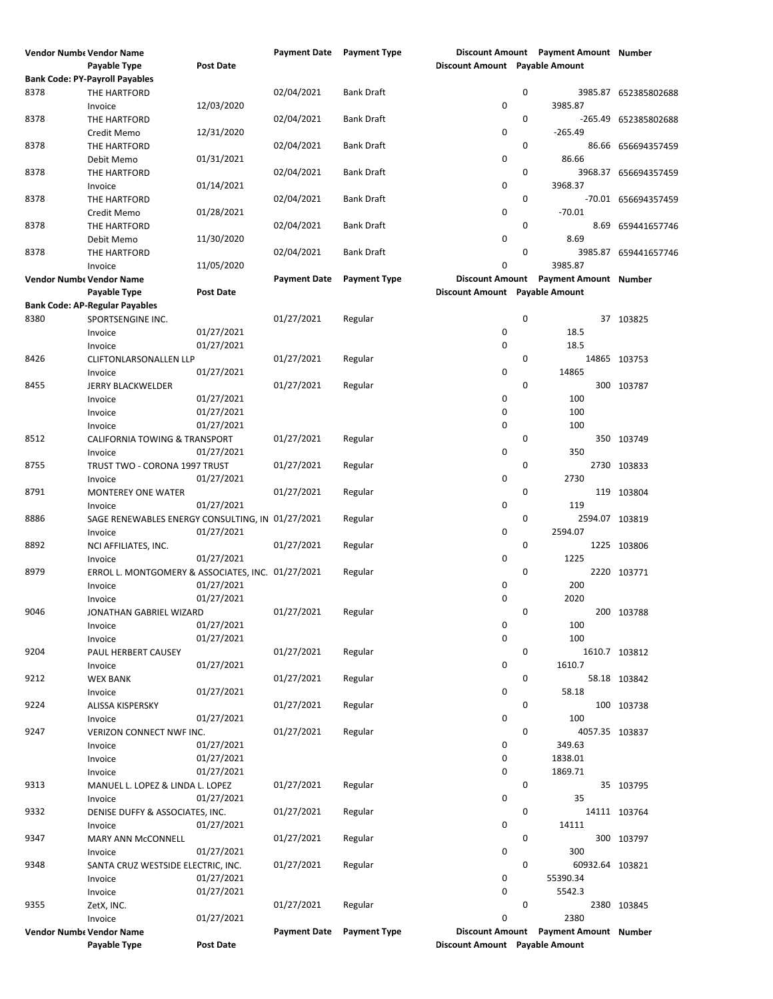| <b>Vendor Numbe Vendor Name</b> |                                                   |                  | Payment Date Payment Type |                     |                                |             | Discount Amount Payment Amount Number |                      |
|---------------------------------|---------------------------------------------------|------------------|---------------------------|---------------------|--------------------------------|-------------|---------------------------------------|----------------------|
|                                 | <b>Payable Type</b>                               | <b>Post Date</b> |                           |                     | Discount Amount Payable Amount |             |                                       |                      |
|                                 | <b>Bank Code: PY-Payroll Payables</b>             |                  |                           |                     |                                |             |                                       |                      |
| 8378                            | THE HARTFORD                                      |                  | 02/04/2021                | <b>Bank Draft</b>   |                                | 0           |                                       | 3985.87 652385802688 |
|                                 | Invoice                                           | 12/03/2020       |                           |                     | $\pmb{0}$                      |             | 3985.87                               |                      |
| 8378                            | THE HARTFORD                                      |                  | 02/04/2021                | <b>Bank Draft</b>   |                                | 0           |                                       | -265.49 652385802688 |
|                                 | Credit Memo                                       | 12/31/2020       |                           |                     | $\pmb{0}$                      |             | $-265.49$                             |                      |
|                                 |                                                   |                  |                           |                     |                                | 0           |                                       |                      |
| 8378                            | THE HARTFORD                                      |                  | 02/04/2021                | <b>Bank Draft</b>   |                                |             |                                       | 86.66 656694357459   |
|                                 | Debit Memo                                        | 01/31/2021       |                           |                     | $\pmb{0}$                      |             | 86.66                                 |                      |
| 8378                            | THE HARTFORD                                      |                  | 02/04/2021                | <b>Bank Draft</b>   |                                | 0           |                                       | 3968.37 656694357459 |
|                                 | Invoice                                           | 01/14/2021       |                           |                     | 0                              |             | 3968.37                               |                      |
| 8378                            | THE HARTFORD                                      |                  | 02/04/2021                | <b>Bank Draft</b>   |                                | 0           |                                       | -70.01 656694357459  |
|                                 | Credit Memo                                       | 01/28/2021       |                           |                     | 0                              |             | $-70.01$                              |                      |
| 8378                            | THE HARTFORD                                      |                  | 02/04/2021                | <b>Bank Draft</b>   |                                | 0           |                                       | 8.69 659441657746    |
|                                 | Debit Memo                                        | 11/30/2020       |                           |                     | $\pmb{0}$                      |             | 8.69                                  |                      |
| 8378                            | THE HARTFORD                                      |                  | 02/04/2021                | <b>Bank Draft</b>   |                                | 0           |                                       | 3985.87 659441657746 |
|                                 | Invoice                                           | 11/05/2020       |                           |                     | 0                              |             | 3985.87                               |                      |
| <b>Vendor Numbe Vendor Name</b> |                                                   |                  | <b>Payment Date</b>       | <b>Payment Type</b> |                                |             | Discount Amount Payment Amount Number |                      |
|                                 |                                                   |                  |                           |                     |                                |             |                                       |                      |
|                                 | Payable Type                                      | <b>Post Date</b> |                           |                     | Discount Amount Payable Amount |             |                                       |                      |
|                                 | <b>Bank Code: AP-Regular Payables</b>             |                  |                           |                     |                                |             |                                       |                      |
| 8380                            | SPORTSENGINE INC.                                 |                  | 01/27/2021                | Regular             |                                | $\mathbf 0$ |                                       | 37 103825            |
|                                 | Invoice                                           | 01/27/2021       |                           |                     | 0                              |             | 18.5                                  |                      |
|                                 | Invoice                                           | 01/27/2021       |                           |                     | $\pmb{0}$                      |             | 18.5                                  |                      |
| 8426                            | <b>CLIFTONLARSONALLEN LLP</b>                     |                  | 01/27/2021                | Regular             |                                | $\mathbf 0$ |                                       | 14865 103753         |
|                                 | Invoice                                           | 01/27/2021       |                           |                     | 0                              |             | 14865                                 |                      |
| 8455                            | <b>JERRY BLACKWELDER</b>                          |                  | 01/27/2021                | Regular             |                                | 0           |                                       | 300 103787           |
|                                 | Invoice                                           | 01/27/2021       |                           |                     | 0                              |             | 100                                   |                      |
|                                 |                                                   | 01/27/2021       |                           |                     | 0                              |             | 100                                   |                      |
|                                 | Invoice                                           |                  |                           |                     |                                |             |                                       |                      |
|                                 | Invoice                                           | 01/27/2021       |                           |                     | 0                              |             | 100                                   |                      |
| 8512                            | CALIFORNIA TOWING & TRANSPORT                     |                  | 01/27/2021                | Regular             |                                | 0           |                                       | 350 103749           |
|                                 | Invoice                                           | 01/27/2021       |                           |                     | $\pmb{0}$                      |             | 350                                   |                      |
| 8755                            | TRUST TWO - CORONA 1997 TRUST                     |                  | 01/27/2021                | Regular             |                                | $\mathbf 0$ |                                       | 2730 103833          |
|                                 | Invoice                                           | 01/27/2021       |                           |                     | 0                              |             | 2730                                  |                      |
| 8791                            | <b>MONTEREY ONE WATER</b>                         |                  | 01/27/2021                | Regular             |                                | 0           |                                       | 119 103804           |
|                                 | Invoice                                           | 01/27/2021       |                           |                     | 0                              |             | 119                                   |                      |
| 8886                            | SAGE RENEWABLES ENERGY CONSULTING, IN 01/27/2021  |                  |                           | Regular             |                                | 0           | 2594.07 103819                        |                      |
|                                 | Invoice                                           | 01/27/2021       |                           |                     | 0                              |             | 2594.07                               |                      |
| 8892                            | NCI AFFILIATES, INC.                              |                  | 01/27/2021                | Regular             |                                | 0           |                                       | 1225 103806          |
|                                 | Invoice                                           | 01/27/2021       |                           |                     | $\pmb{0}$                      |             | 1225                                  |                      |
|                                 |                                                   |                  |                           |                     |                                | 0           |                                       |                      |
| 8979                            | ERROL L. MONTGOMERY & ASSOCIATES, INC. 01/27/2021 |                  |                           | Regular             |                                |             |                                       | 2220 103771          |
|                                 | Invoice                                           | 01/27/2021       |                           |                     | 0                              |             | 200                                   |                      |
|                                 | Invoice                                           | 01/27/2021       |                           |                     | 0                              |             | 2020                                  |                      |
| 9046                            | JONATHAN GABRIEL WIZARD                           |                  | 01/27/2021                | Regular             |                                | 0           |                                       | 200 103788           |
|                                 | Invoice                                           | 01/27/2021       |                           |                     | 0                              |             | 100                                   |                      |
|                                 | Invoice                                           | 01/27/2021       |                           |                     | 0                              |             | 100                                   |                      |
| 9204                            | PAUL HERBERT CAUSEY                               |                  | 01/27/2021                | Regular             |                                | 0           |                                       | 1610.7 103812        |
|                                 | Invoice                                           | 01/27/2021       |                           |                     | 0                              |             | 1610.7                                |                      |
| 9212                            | <b>WEX BANK</b>                                   |                  | 01/27/2021                | Regular             |                                | 0           |                                       | 58.18 103842         |
|                                 | Invoice                                           | 01/27/2021       |                           |                     | 0                              |             | 58.18                                 |                      |
| 9224                            | ALISSA KISPERSKY                                  |                  | 01/27/2021                | Regular             |                                | 0           |                                       | 100 103738           |
|                                 | Invoice                                           | 01/27/2021       |                           |                     | 0                              |             | 100                                   |                      |
| 9247                            | VERIZON CONNECT NWF INC.                          |                  | 01/27/2021                | Regular             |                                | 0           | 4057.35 103837                        |                      |
|                                 |                                                   | 01/27/2021       |                           |                     | 0                              |             |                                       |                      |
|                                 | Invoice                                           |                  |                           |                     |                                |             | 349.63                                |                      |
|                                 | Invoice                                           | 01/27/2021       |                           |                     | 0                              |             | 1838.01                               |                      |
|                                 | Invoice                                           | 01/27/2021       |                           |                     | $\pmb{0}$                      |             | 1869.71                               |                      |
| 9313                            | MANUEL L. LOPEZ & LINDA L. LOPEZ                  |                  | 01/27/2021                | Regular             |                                | 0           |                                       | 35 103795            |
|                                 | Invoice                                           | 01/27/2021       |                           |                     | 0                              |             | 35                                    |                      |
| 9332                            | DENISE DUFFY & ASSOCIATES, INC.                   |                  | 01/27/2021                | Regular             |                                | 0           |                                       | 14111 103764         |
|                                 | Invoice                                           | 01/27/2021       |                           |                     | $\pmb{0}$                      |             | 14111                                 |                      |
| 9347                            | MARY ANN McCONNELL                                |                  | 01/27/2021                | Regular             |                                | 0           |                                       | 300 103797           |
|                                 | Invoice                                           | 01/27/2021       |                           |                     | 0                              |             | 300                                   |                      |
| 9348                            | SANTA CRUZ WESTSIDE ELECTRIC, INC.                |                  | 01/27/2021                | Regular             |                                | $\mathbf 0$ | 60932.64 103821                       |                      |
|                                 | Invoice                                           | 01/27/2021       |                           |                     | 0                              |             | 55390.34                              |                      |
|                                 |                                                   | 01/27/2021       |                           |                     | 0                              |             | 5542.3                                |                      |
|                                 | Invoice                                           |                  |                           |                     |                                |             |                                       |                      |
| 9355                            | ZetX, INC.                                        |                  | 01/27/2021                | Regular             |                                | 0           |                                       | 2380 103845          |
|                                 | Invoice                                           | 01/27/2021       |                           |                     | 0                              |             | 2380                                  |                      |
|                                 | Vendor Numbe Vendor Name                          |                  | <b>Payment Date</b>       | <b>Payment Type</b> |                                |             | Discount Amount Payment Amount Number |                      |
|                                 | Payable Type                                      | <b>Post Date</b> |                           |                     | Discount Amount Payable Amount |             |                                       |                      |